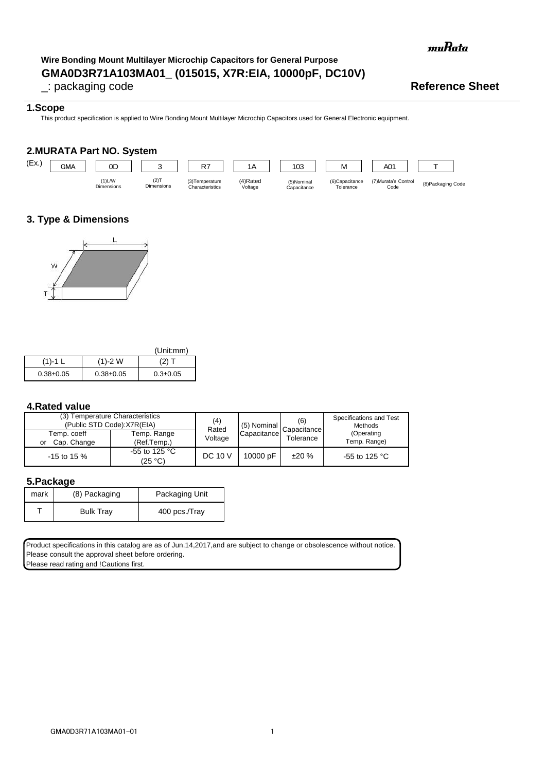muRata

# **GMA0D3R71A103MA01\_ (015015, X7R:EIA, 10000pF, DC10V) Wire Bonding Mount Multilayer Microchip Capacitors for General Purpose**

# \_: packaging code **Reference Sheet**

# **1.Scope**

This product specification is applied to Wire Bonding Mount Multilayer Microchip Capacitors used for General Electronic equipment.

# **2.MURATA Part NO. System**



# **3. Type & Dimensions**



|               |               | (Unit:mm)      |
|---------------|---------------|----------------|
| $(1)-1$ L     | $(1)-2$ W     | (2) T          |
| $0.38 + 0.05$ | $0.38 + 0.05$ | $0.3 \pm 0.05$ |

# **4.Rated value**

| (3) Temperature Characteristics<br>(Public STD Code):X7R(EIA) |                                    | (4)<br>Rated   | (5) Nominal | (6)<br>Capacitance | Specifications and Test<br><b>Methods</b> |
|---------------------------------------------------------------|------------------------------------|----------------|-------------|--------------------|-------------------------------------------|
| Temp. coeff<br>Cap. Change<br>or                              | Temp. Range<br>(Ref.Temp.)         | Voltage        | Capacitance | Tolerance          | (Operating<br>Temp. Range)                |
| $-15$ to 15 %                                                 | -55 to 125 $^{\circ}$ C<br>(25 °C) | <b>DC 10 V</b> | 10000 pF    | ±20%               | -55 to 125 °C                             |

#### **5.Package**

| mark | (8) Packaging    | Packaging Unit |  |
|------|------------------|----------------|--|
|      | <b>Bulk Tray</b> | 400 pcs./Tray  |  |

Product specifications in this catalog are as of Jun.14,2017,and are subject to change or obsolescence without notice. Please consult the approval sheet before ordering. Please read rating and !Cautions first.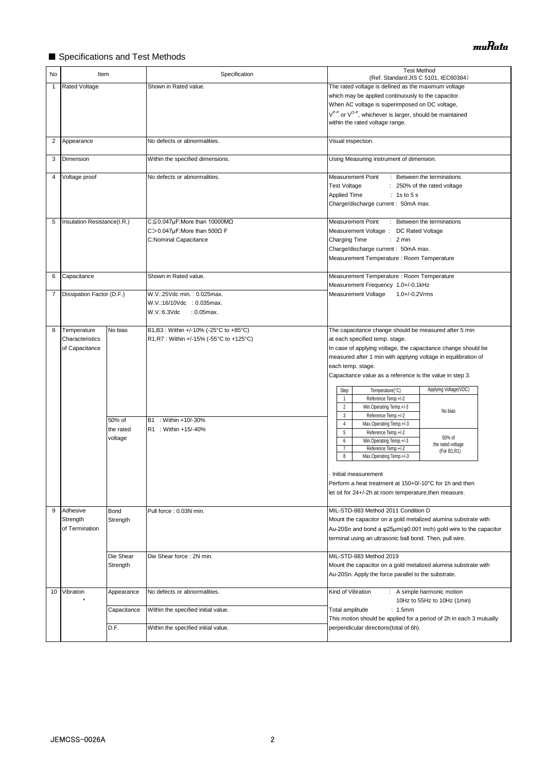# ■ Specifications and Test Methods

| No           | Item                                             |                                | Specification                                                                                                                     | <b>Test Method</b><br>(Ref. Standard: JIS C 5101, IEC60384)                                                                                                                                                                                                                                                                                                                                                                                                                                                                                                                       |  |
|--------------|--------------------------------------------------|--------------------------------|-----------------------------------------------------------------------------------------------------------------------------------|-----------------------------------------------------------------------------------------------------------------------------------------------------------------------------------------------------------------------------------------------------------------------------------------------------------------------------------------------------------------------------------------------------------------------------------------------------------------------------------------------------------------------------------------------------------------------------------|--|
| $\mathbf{1}$ | Rated Voltage                                    |                                | Shown in Rated value.                                                                                                             | The rated voltage is defined as the maximum voltage<br>which may be applied continuously to the capacitor.<br>When AC voltage is superimposed on DC voltage,<br>V <sup>P-P</sup> or V <sup>O-P</sup> , whichever is larger, should be maintained<br>within the rated voltage range.                                                                                                                                                                                                                                                                                               |  |
| 2            | Appearance                                       |                                | No defects or abnormalities.                                                                                                      | Visual inspection.                                                                                                                                                                                                                                                                                                                                                                                                                                                                                                                                                                |  |
| 3            | Dimension                                        |                                | Within the specified dimensions.                                                                                                  | Using Measuring instrument of dimension.                                                                                                                                                                                                                                                                                                                                                                                                                                                                                                                                          |  |
| 4            | Voltage proof                                    |                                | No defects or abnormalities.                                                                                                      | <b>Measurement Point</b><br>: Between the terminations<br><b>Test Voltage</b><br>: 250% of the rated voltage<br>Applied Time<br>: 1s to 5s<br>Charge/discharge current: 50mA max.                                                                                                                                                                                                                                                                                                                                                                                                 |  |
| 5            | Insulation Resistance(I.R.)                      |                                | $C \leq 0.047 \mu$ F:More than 10000M $\Omega$<br>C > 0.047µF: More than $500\Omega$ · F<br>C:Nominal Capacitance                 | Measurement Point<br>: Between the terminations<br>Measurement Voltage : DC Rated Voltage<br><b>Charging Time</b><br>: 2 min<br>Charge/discharge current: 50mA max.<br>Measurement Temperature : Room Temperature                                                                                                                                                                                                                                                                                                                                                                 |  |
| 6            | Capacitance                                      |                                | Shown in Rated value.                                                                                                             | Measurement Temperature : Room Temperature<br>Measurement Frequency 1.0+/-0.1kHz                                                                                                                                                                                                                                                                                                                                                                                                                                                                                                  |  |
| 7            | Dissipation Factor (D.F.)                        |                                | W.V.:25Vdc min.: 0.025max.<br>W.V.:16/10Vdc : 0.035max.<br>W.V.:6.3Vdc<br>$: 0.05$ max.                                           | Measurement Voltage<br>$1.0 + (-0.2 \text{V} \text{rms})$                                                                                                                                                                                                                                                                                                                                                                                                                                                                                                                         |  |
| 8            | Temperature<br>Characteristics<br>of Capacitance | No bias<br>50% of<br>the rated | B1,B3: Within +/-10% (-25°C to +85°C)<br>R1, R7 : Within +/-15% (-55°C to +125°C)<br>B1 : Within +10/-30%<br>R1 : Within +15/-40% | The capacitance change should be measured after 5 min<br>at each specified temp. stage.<br>In case of applying voltage, the capacitance change should be<br>measured after 1 min with applying voltage in equilibration of<br>each temp. stage.<br>Capacitance value as a reference is the value in step 3.<br>Applying Voltage(VDC)<br>Step<br>Temperature(°C)<br>Reference Temp.+/-2<br>$\mathbf{1}$<br>$\overline{2}$<br>Min.Operating Temp.+/-3<br>No bias<br>3<br>Reference Temp.+/-2<br>$\overline{4}$<br>Max.Operating Temp.+/-3<br>$5\phantom{.0}$<br>Reference Temp.+/-2 |  |
|              |                                                  | voltage                        |                                                                                                                                   | 50% of<br>6<br>Min.Operating Temp.+/-3<br>the rated voltage<br>$\overline{7}$<br>Reference Temp.+/-2<br>(For B1,R1)<br>8<br>Max.Operating Temp.+/-3<br>Initial measurement<br>Perform a heat treatment at 150+0/-10°C for 1h and then<br>let sit for 24+/-2h at room temperature, then measure.                                                                                                                                                                                                                                                                                   |  |
| 9            | Adhesive<br>Strength<br>of Termination           | Bond<br>Strength               | Pull force: 0.03N min.                                                                                                            | MIL-STD-883 Method 2011 Condition D<br>Mount the capacitor on a gold metalized alumina substrate with<br>Au-20Sn and bond a φ25μm(φ0.001 inch) gold wire to the capacitor<br>terminal using an ultrasonic ball bond. Then, pull wire.                                                                                                                                                                                                                                                                                                                                             |  |
|              |                                                  | Die Shear<br>Strength          | Die Shear force: 2N min.                                                                                                          | MIL-STD-883 Method 2019<br>Mount the capacitor on a gold metalized alumina substrate with<br>Au-20Sn. Apply the force parallel to the substrate.                                                                                                                                                                                                                                                                                                                                                                                                                                  |  |
| 10           | Vibration                                        | Appearance                     | No defects or abnormalities.                                                                                                      | Kind of Vibration<br>: A simple harmonic motion<br>10Hz to 55Hz to 10Hz (1min)                                                                                                                                                                                                                                                                                                                                                                                                                                                                                                    |  |
|              |                                                  | Capacitance                    | Within the specified initial value.                                                                                               | Total amplitude<br>: 1.5mm<br>This motion should be applied for a period of 2h in each 3 mutually                                                                                                                                                                                                                                                                                                                                                                                                                                                                                 |  |
|              |                                                  | D.F.                           | Within the specified initial value.                                                                                               | perpendicular directions(total of 6h).                                                                                                                                                                                                                                                                                                                                                                                                                                                                                                                                            |  |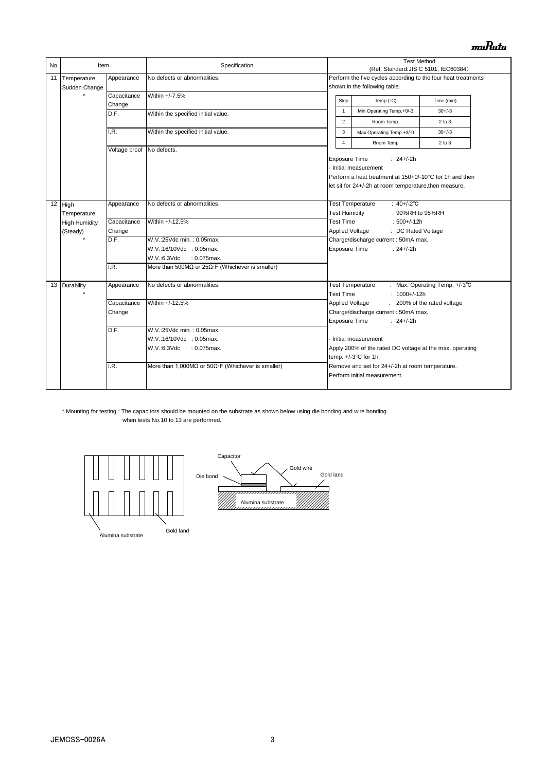# muRata

| <b>No</b> | Item                 |                           | Specification                                                      |                                                                                  | <b>Test Method</b><br>(Ref. Standard: JIS C 5101, IEC60384)   |                               |  |
|-----------|----------------------|---------------------------|--------------------------------------------------------------------|----------------------------------------------------------------------------------|---------------------------------------------------------------|-------------------------------|--|
| 11        | Temperature          | Appearance                | No defects or abnormalities.                                       |                                                                                  | Perform the five cycles according to the four heat treatments |                               |  |
|           | Sudden Change        |                           |                                                                    |                                                                                  | shown in the following table.                                 |                               |  |
|           |                      | Capacitance               | Within +/-7.5%                                                     | Step                                                                             | Temp. $(^{\circ}C)$<br>Time (min)                             |                               |  |
|           |                      | Change                    |                                                                    | 1                                                                                | Min.Operating Temp.+0/-3                                      | $30 + (-3)$                   |  |
|           |                      | D.F.                      | Within the specified initial value.                                | $\overline{2}$                                                                   |                                                               | $2$ to $3$                    |  |
|           |                      |                           |                                                                    |                                                                                  | Room Temp.                                                    |                               |  |
|           |                      | I.R.                      | Within the specified initial value.                                | 3                                                                                | Max.Operating Temp.+3/-0                                      | $30 + (-3)$                   |  |
|           |                      | Voltage proof No defects. |                                                                    | 4                                                                                | Room Temp                                                     | 2 to 3                        |  |
|           |                      |                           |                                                                    | <b>Exposure Time</b>                                                             | : $24+/-2h$                                                   |                               |  |
|           |                      |                           |                                                                    |                                                                                  | Initial measurement                                           |                               |  |
|           |                      |                           |                                                                    |                                                                                  | Perform a heat treatment at 150+0/-10°C for 1h and then       |                               |  |
|           |                      |                           |                                                                    |                                                                                  | let sit for 24+/-2h at room temperature, then measure.        |                               |  |
|           |                      |                           |                                                                    |                                                                                  |                                                               |                               |  |
|           | $12$ High            | Appearance                | No defects or abnormalities.                                       |                                                                                  | <b>Test Temperature</b><br>: $40+/-2$ °C                      |                               |  |
|           | Temperature          |                           |                                                                    | <b>Test Humidity</b>                                                             | : 90%RH to 95%RH                                              |                               |  |
|           | <b>High Humidity</b> | Capacitance               | Within +/-12.5%                                                    | <b>Test Time</b>                                                                 | $:500+/12h$                                                   |                               |  |
|           | (Steady)             | Change                    |                                                                    | Applied Voltage<br>: DC Rated Voltage                                            |                                                               |                               |  |
|           |                      | D.F.                      | W.V.:25Vdc min.: 0.05max.                                          | Charge/discharge current: 50mA max.                                              |                                                               |                               |  |
|           |                      |                           | W.V.:16/10Vdc : 0.05max.                                           | <b>Exposure Time</b><br>$: 24 + (-2)$                                            |                                                               |                               |  |
|           |                      |                           | $: 0.075$ max.<br>W.V.:6.3Vdc                                      |                                                                                  |                                                               |                               |  |
|           |                      | I.R.                      | More than 500M $\Omega$ or 25 $\Omega$ ·F (Whichever is smaller)   |                                                                                  |                                                               |                               |  |
|           | 13 Durability        | Appearance                | No defects or abnormalities.                                       |                                                                                  | <b>Test Temperature</b>                                       | : Max. Operating Temp. +/-3°C |  |
|           |                      |                           |                                                                    | <b>Test Time</b>                                                                 | $: 1000 + (-12h)$                                             |                               |  |
|           |                      | Capacitance               | Within +/-12.5%                                                    | Applied Voltage                                                                  |                                                               | : 200% of the rated voltage   |  |
|           |                      | Change                    |                                                                    | Charge/discharge current: 50mA max.                                              |                                                               |                               |  |
|           |                      |                           |                                                                    | <b>Exposure Time</b>                                                             | $: 24+/2h$                                                    |                               |  |
|           |                      | D.F.                      | W.V.:25Vdc min.: 0.05max.                                          |                                                                                  |                                                               |                               |  |
|           |                      |                           | W.V.:16/10Vdc : 0.05max.                                           |                                                                                  | Initial measurement                                           |                               |  |
|           |                      |                           | W.V.:6.3Vdc<br>$: 0.075$ max.                                      | Apply 200% of the rated DC voltage at the max. operating<br>temp. +/-3°C for 1h. |                                                               |                               |  |
|           |                      |                           |                                                                    |                                                                                  |                                                               |                               |  |
|           |                      | I.R.                      | More than 1,000M $\Omega$ or 50 $\Omega$ ·F (Whichever is smaller) |                                                                                  | Remove and set for 24+/-2h at room temperature.               |                               |  |
|           |                      |                           |                                                                    |                                                                                  | Perform initial measurement.                                  |                               |  |
|           |                      |                           |                                                                    |                                                                                  |                                                               |                               |  |

#### \* Mounting for testing : The capacitors should be mounted on the substrate as shown below using die bonding and wire bonding when tests No.10 to 13 are performed.



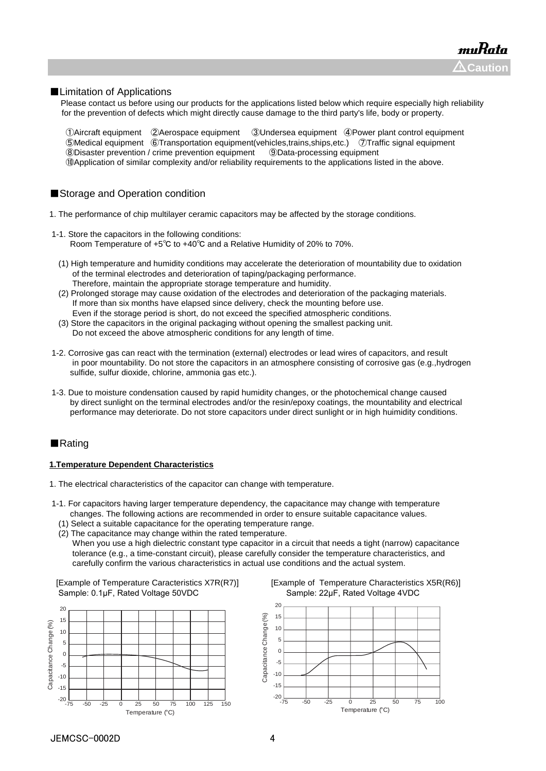#### ■Limitation of Applications

Please contact us before using our products for the applications listed below which require especially high reliability for the prevention of defects which might directly cause damage to the third party's life, body or property.

Aircraft equipment ②Aerospace equipment ③Undersea equipment ④Power plant control equipment Medical equipment ⑥Transportation equipment(vehicles,trains,ships,etc.) ⑦Traffic signal equipment Disaster prevention / crime prevention equipment ⑨Data-processing equipment ⑩Application of similar complexity and/or reliability requirements to the applications listed in the above.

### ■Storage and Operation condition

- 1. The performance of chip multilayer ceramic capacitors may be affected by the storage conditions.
- 1-1. Store the capacitors in the following conditions: Room Temperature of +5℃ to +40℃ and a Relative Humidity of 20% to 70%.
	- (1) High temperature and humidity conditions may accelerate the deterioration of mountability due to oxidation of the terminal electrodes and deterioration of taping/packaging performance. Therefore, maintain the appropriate storage temperature and humidity.
	- (2) Prolonged storage may cause oxidation of the electrodes and deterioration of the packaging materials. If more than six months have elapsed since delivery, check the mounting before use. Even if the storage period is short, do not exceed the specified atmospheric conditions.
	- (3) Store the capacitors in the original packaging without opening the smallest packing unit. Do not exceed the above atmospheric conditions for any length of time.
- 1-2. Corrosive gas can react with the termination (external) electrodes or lead wires of capacitors, and result in poor mountability. Do not store the capacitors in an atmosphere consisting of corrosive gas (e.g.,hydrogen sulfide, sulfur dioxide, chlorine, ammonia gas etc.).
- 1-3. Due to moisture condensation caused by rapid humidity changes, or the photochemical change caused by direct sunlight on the terminal electrodes and/or the resin/epoxy coatings, the mountability and electrical performance may deteriorate. Do not store capacitors under direct sunlight or in high huimidity conditions.

#### ■Rating

#### **1.Temperature Dependent Characteristics**

- 1. The electrical characteristics of the capacitor can change with temperature.
- 1-1. For capacitors having larger temperature dependency, the capacitance may change with temperature changes. The following actions are recommended in order to ensure suitable capacitance values.
	- (1) Select a suitable capacitance for the operating temperature range.
	- (2) The capacitance may change within the rated temperature. When you use a high dielectric constant type capacitor in a circuit that needs a tight (narrow) capacitance tolerance (e.g., a time-constant circuit), please carefully consider the temperature characteristics, and carefully confirm the various characteristics in actual use conditions and the actual system.

Sample: 0.1μF, Rated Voltage 50VDC Sample: 22μF, Rated Voltage 4VDC





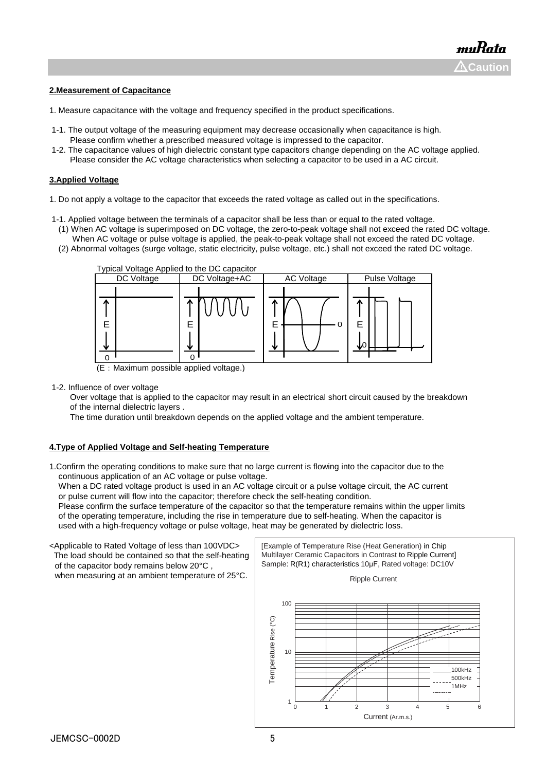#### **2.Measurement of Capacitance**

- 1. Measure capacitance with the voltage and frequency specified in the product specifications.
- 1-1. The output voltage of the measuring equipment may decrease occasionally when capacitance is high. Please confirm whether a prescribed measured voltage is impressed to the capacitor.
- 1-2. The capacitance values of high dielectric constant type capacitors change depending on the AC voltage applied. Please consider the AC voltage characteristics when selecting a capacitor to be used in a AC circuit.

#### **3.Applied Voltage**

- 1. Do not apply a voltage to the capacitor that exceeds the rated voltage as called out in the specifications.
- 1-1. Applied voltage between the terminals of a capacitor shall be less than or equal to the rated voltage.
- (1) When AC voltage is superimposed on DC voltage, the zero-to-peak voltage shall not exceed the rated DC voltage. When AC voltage or pulse voltage is applied, the peak-to-peak voltage shall not exceed the rated DC voltage.
- (2) Abnormal voltages (surge voltage, static electricity, pulse voltage, etc.) shall not exceed the rated DC voltage.



(E:Maximum possible applied voltage.)

1-2. Influence of over voltage

 Over voltage that is applied to the capacitor may result in an electrical short circuit caused by the breakdown of the internal dielectric layers .

The time duration until breakdown depends on the applied voltage and the ambient temperature.

### **4.Type of Applied Voltage and Self-heating Temperature**

1.Confirm the operating conditions to make sure that no large current is flowing into the capacitor due to the continuous application of an AC voltage or pulse voltage.

When a DC rated voltage product is used in an AC voltage circuit or a pulse voltage circuit, the AC current or pulse current will flow into the capacitor; therefore check the self-heating condition.

 Please confirm the surface temperature of the capacitor so that the temperature remains within the upper limits of the operating temperature, including the rise in temperature due to self-heating. When the capacitor is used with a high-frequency voltage or pulse voltage, heat may be generated by dielectric loss.

<Applicable to Rated Voltage of less than 100VDC> The load should be contained so that the self-heating of the capacitor body remains below 20°C , when measuring at an ambient temperature of 25°C.

[Example of Temperature Rise (Heat Generation) in Chip Multilayer Ceramic Capacitors in Contrast to Ripple Current] Sample: R(R1) characteristics 10μF, Rated voltage: DC10V

Ripple Current

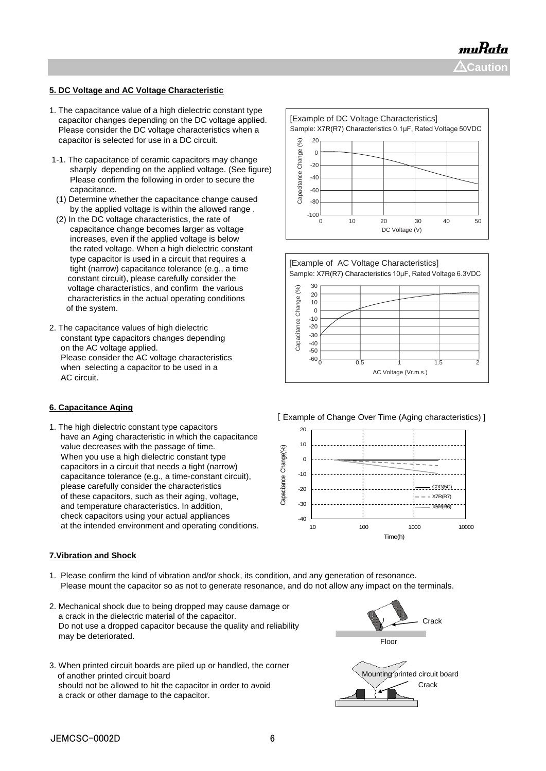muRata **Caution** !

# **5. DC Voltage and AC Voltage Characteristic**

- 1. The capacitance value of a high dielectric constant type capacitor changes depending on the DC voltage applied. Please consider the DC voltage characteristics when a capacitor is selected for use in a DC circuit.
- 1-1. The capacitance of ceramic capacitors may change sharply depending on the applied voltage. (See figure) Please confirm the following in order to secure the capacitance.
- (1) Determine whether the capacitance change caused by the applied voltage is within the allowed range .
- (2) In the DC voltage characteristics, the rate of capacitance change becomes larger as voltage increases, even if the applied voltage is below the rated voltage. When a high dielectric constant type capacitor is used in a circuit that requires a tight (narrow) capacitance tolerance (e.g., a time constant circuit), please carefully consider the voltage characteristics, and confirm the various characteristics in the actual operating conditions of the system.
- 2. The capacitance values of high dielectric constant type capacitors changes depending on the AC voltage applied. Please consider the AC voltage characteristics when selecting a capacitor to be used in a AC circuit.

#### **6. Capacitance Aging**

1. The high dielectric constant type capacitors have an Aging characteristic in which the capacitance value decreases with the passage of time. When you use a high dielectric constant type capacitors in a circuit that needs a tight (narrow) capacitance tolerance (e.g., a time-constant circuit), please carefully consider the characteristics of these capacitors, such as their aging, voltage, and temperature characteristics. In addition, check capacitors using your actual appliances at the intended environment and operating conditions.

#### **7.Vibration and Shock**

- 1. Please confirm the kind of vibration and/or shock, its condition, and any generation of resonance. Please mount the capacitor so as not to generate resonance, and do not allow any impact on the terminals.
- 2. Mechanical shock due to being dropped may cause damage or a crack in the dielectric material of the capacitor. Do not use a dropped capacitor because the quality and reliability may be deteriorated.
- 3. When printed circuit boards are piled up or handled, the corner of another printed circuit board should not be allowed to hit the capacitor in order to avoid a crack or other damage to the capacitor.







[ Example of Change Over Time (Aging characteristics) ]



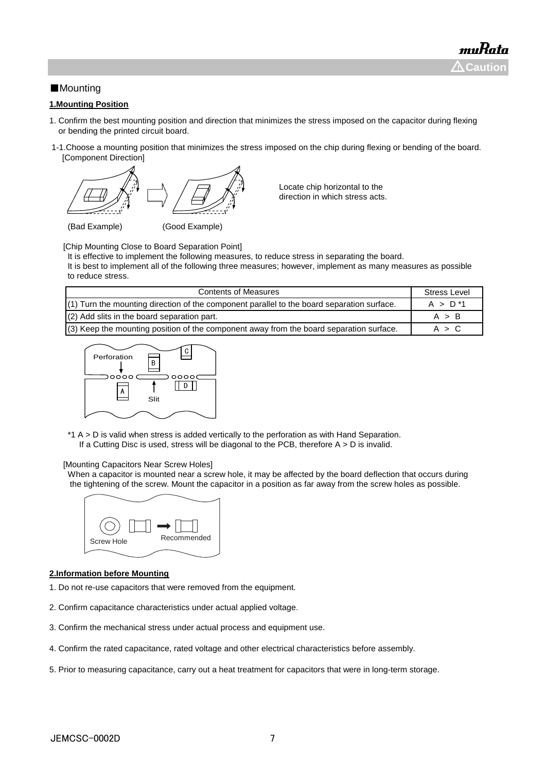# ■Mounting

### **1.Mounting Position**

- 1. Confirm the best mounting position and direction that minimizes the stress imposed on the capacitor during flexing or bending the printed circuit board.
- 1-1.Choose a mounting position that minimizes the stress imposed on the chip during flexing or bending of the board. [Component Direction]



Locate chip horizontal to the direction in which stress acts.

(Bad Example) (Good Example)

[Chip Mounting Close to Board Separation Point]

It is effective to implement the following measures, to reduce stress in separating the board.

It is best to implement all of the following three measures; however, implement as many measures as possible to reduce stress.

| <b>Contents of Measures</b>                                                                  | <b>Stress Level</b> |
|----------------------------------------------------------------------------------------------|---------------------|
| $(1)$ Turn the mounting direction of the component parallel to the board separation surface. | $A > D^*1$          |
| $(2)$ Add slits in the board separation part.                                                | A > B               |
| $(3)$ Keep the mounting position of the component away from the board separation surface.    | A > C               |



\*1 A > D is valid when stress is added vertically to the perforation as with Hand Separation. If a Cutting Disc is used, stress will be diagonal to the PCB, therefore  $A > D$  is invalid.

#### [Mounting Capacitors Near Screw Holes]

When a capacitor is mounted near a screw hole, it may be affected by the board deflection that occurs during the tightening of the screw. Mount the capacitor in a position as far away from the screw holes as possible.



#### **2.Information before Mounting**

- 1. Do not re-use capacitors that were removed from the equipment.
- 2. Confirm capacitance characteristics under actual applied voltage.
- 3. Confirm the mechanical stress under actual process and equipment use.
- 4. Confirm the rated capacitance, rated voltage and other electrical characteristics before assembly.
- 5. Prior to measuring capacitance, carry out a heat treatment for capacitors that were in long-term storage.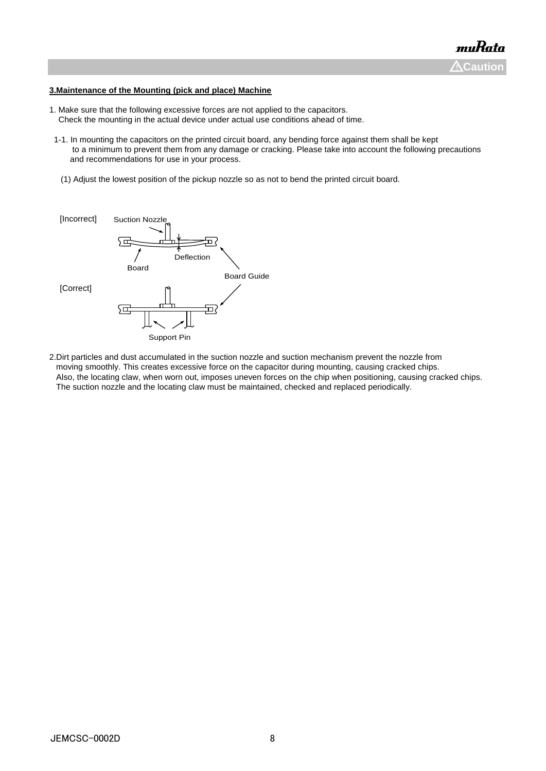#### **3.Maintenance of the Mounting (pick and place) Machine**

- 1. Make sure that the following excessive forces are not applied to the capacitors. Check the mounting in the actual device under actual use conditions ahead of time.
- 1-1. In mounting the capacitors on the printed circuit board, any bending force against them shall be kept to a minimum to prevent them from any damage or cracking. Please take into account the following precautions and recommendations for use in your process.
- (1) Adjust the lowest position of the pickup nozzle so as not to bend the printed circuit board.



2.Dirt particles and dust accumulated in the suction nozzle and suction mechanism prevent the nozzle from moving smoothly. This creates excessive force on the capacitor during mounting, causing cracked chips. Also, the locating claw, when worn out, imposes uneven forces on the chip when positioning, causing cracked chips. The suction nozzle and the locating claw must be maintained, checked and replaced periodically.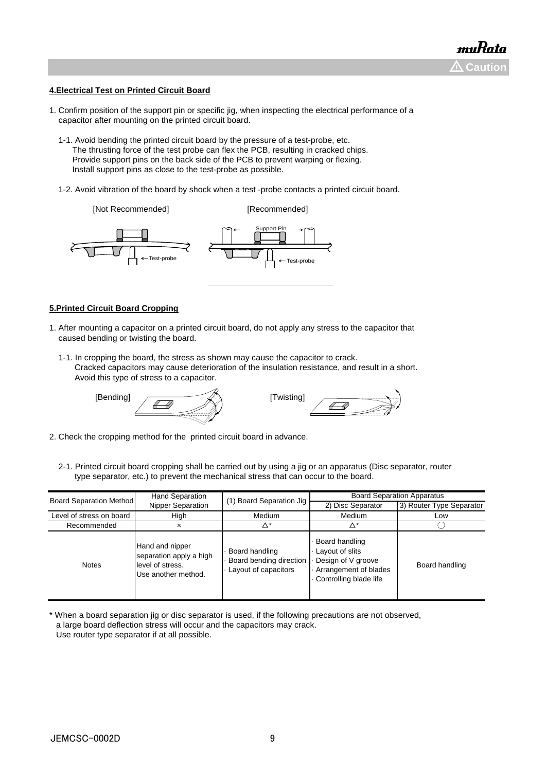#### **4.Electrical Test on Printed Circuit Board**

- 1. Confirm position of the support pin or specific jig, when inspecting the electrical performance of a capacitor after mounting on the printed circuit board.
	- 1-1. Avoid bending the printed circuit board by the pressure of a test-probe, etc. The thrusting force of the test probe can flex the PCB, resulting in cracked chips. Provide support pins on the back side of the PCB to prevent warping or flexing. Install support pins as close to the test-probe as possible.
	- 1-2. Avoid vibration of the board by shock when a test -probe contacts a printed circuit board.

[Not Recommended] [Recommended] Test-probe Test-probe Support Pin

#### **5.Printed Circuit Board Cropping**

- 1. After mounting a capacitor on a printed circuit board, do not apply any stress to the capacitor that caused bending or twisting the board.
	- 1-1. In cropping the board, the stress as shown may cause the capacitor to crack. Cracked capacitors may cause deterioration of the insulation resistance, and result in a short. Avoid this type of stress to a capacitor.

[Bending] **[Twisting]** [Twisting]



- 2. Check the cropping method for the printed circuit board in advance.
	- 2-1. Printed circuit board cropping shall be carried out by using a jig or an apparatus (Disc separator, router type separator, etc.) to prevent the mechanical stress that can occur to the board.

| <b>Board Separation Method</b> | <b>Hand Separation</b>                                                                | (1) Board Separation Jig                                          | <b>Board Separation Apparatus</b>                                                                          |                          |  |
|--------------------------------|---------------------------------------------------------------------------------------|-------------------------------------------------------------------|------------------------------------------------------------------------------------------------------------|--------------------------|--|
|                                | <b>Nipper Separation</b>                                                              |                                                                   | 2) Disc Separator                                                                                          | 3) Router Type Separator |  |
| Level of stress on board       | High                                                                                  | Medium                                                            | Medium                                                                                                     | Low                      |  |
| Recommended                    | ×                                                                                     | ^*                                                                | Δ*                                                                                                         |                          |  |
| <b>Notes</b>                   | Hand and nipper<br>separation apply a high<br>level of stress.<br>Use another method. | Board handling<br>Board bending direction<br>Layout of capacitors | Board handling<br>Layout of slits<br>Design of V groove<br>Arrangement of blades<br>Controlling blade life | Board handling           |  |

\* When a board separation jig or disc separator is used, if the following precautions are not observed, a large board deflection stress will occur and the capacitors may crack. Use router type separator if at all possible.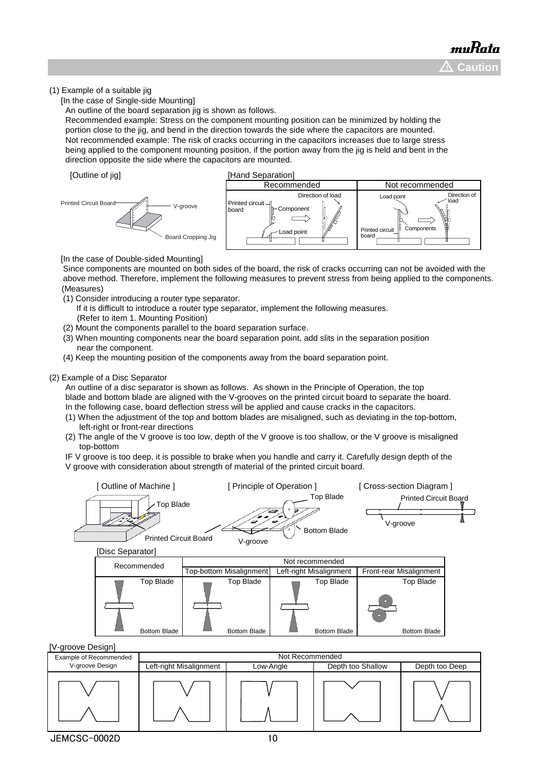### (1) Example of a suitable jig

[In the case of Single-side Mounting]

An outline of the board separation jig is shown as follows.

 Recommended example: Stress on the component mounting position can be minimized by holding the portion close to the jig, and bend in the direction towards the side where the capacitors are mounted. Not recommended example: The risk of cracks occurring in the capacitors increases due to large stress being applied to the component mounting position, if the portion away from the jig is held and bent in the direction opposite the side where the capacitors are mounted.





[In the case of Double-sided Mounting]

 Since components are mounted on both sides of the board, the risk of cracks occurring can not be avoided with the above method. Therefore, implement the following measures to prevent stress from being applied to the components. (Measures)

- (1) Consider introducing a router type separator.
	- If it is difficult to introduce a router type separator, implement the following measures. (Refer to item 1. Mounting Position)
- (2) Mount the components parallel to the board separation surface.
- (3) When mounting components near the board separation point, add slits in the separation position near the component.
- (4) Keep the mounting position of the components away from the board separation point.

#### (2) Example of a Disc Separator

 An outline of a disc separator is shown as follows. As shown in the Principle of Operation, the top blade and bottom blade are aligned with the V-grooves on the printed circuit board to separate the board. In the following case, board deflection stress will be applied and cause cracks in the capacitors.

- (1) When the adjustment of the top and bottom blades are misaligned, such as deviating in the top-bottom, left-right or front-rear directions
- (2) The angle of the V groove is too low, depth of the V groove is too shallow, or the V groove is misaligned top-bottom

 IF V groove is too deep, it is possible to brake when you handle and carry it. Carefully design depth of the V groove with consideration about strength of material of the printed circuit board.



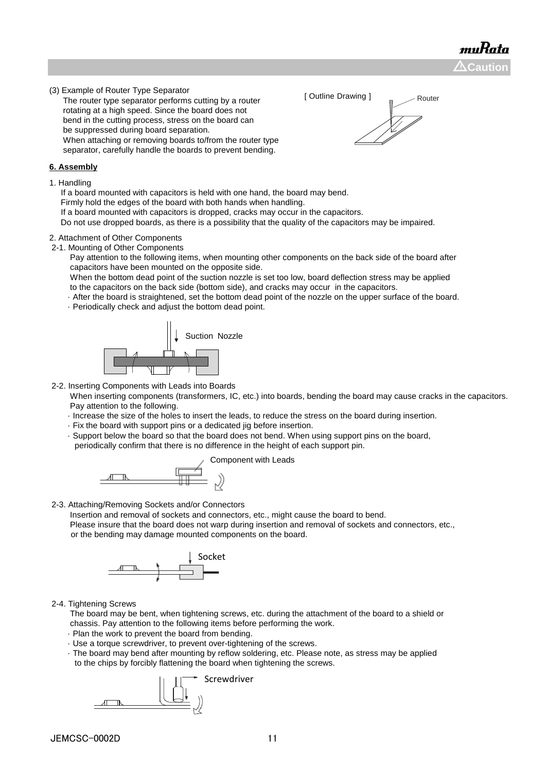muRata  $\Delta$ Caution

(3) Example of Router Type Separator

 The router type separator performs cutting by a router rotating at a high speed. Since the board does not bend in the cutting process, stress on the board can be suppressed during board separation. When attaching or removing boards to/from the router type separator, carefully handle the boards to prevent bending.

#### **6. Assembly**

1. Handling

If a board mounted with capacitors is held with one hand, the board may bend.

Firmly hold the edges of the board with both hands when handling.

If a board mounted with capacitors is dropped, cracks may occur in the capacitors.

Do not use dropped boards, as there is a possibility that the quality of the capacitors may be impaired.

# 2. Attachment of Other Components

2-1. Mounting of Other Components

 Pay attention to the following items, when mounting other components on the back side of the board after capacitors have been mounted on the opposite side.

 When the bottom dead point of the suction nozzle is set too low, board deflection stress may be applied to the capacitors on the back side (bottom side), and cracks may occur in the capacitors.

· After the board is straightened, set the bottom dead point of the nozzle on the upper surface of the board.

· Periodically check and adjust the bottom dead point.



2-2. Inserting Components with Leads into Boards

 When inserting components (transformers, IC, etc.) into boards, bending the board may cause cracks in the capacitors. Pay attention to the following.

- · Increase the size of the holes to insert the leads, to reduce the stress on the board during insertion.
- · Fix the board with support pins or a dedicated jig before insertion.
- · Support below the board so that the board does not bend. When using support pins on the board,

periodically confirm that there is no difference in the height of each support pin.

Component with Leads



2-3. Attaching/Removing Sockets and/or Connectors

 Insertion and removal of sockets and connectors, etc., might cause the board to bend. Please insure that the board does not warp during insertion and removal of sockets and connectors, etc., or the bending may damage mounted components on the board.



2-4. Tightening Screws

 The board may be bent, when tightening screws, etc. during the attachment of the board to a shield or chassis. Pay attention to the following items before performing the work.

- · Plan the work to prevent the board from bending.
- · Use a torque screwdriver, to prevent over-tightening of the screws.
- · The board may bend after mounting by reflow soldering, etc. Please note, as stress may be applied to the chips by forcibly flattening the board when tightening the screws.



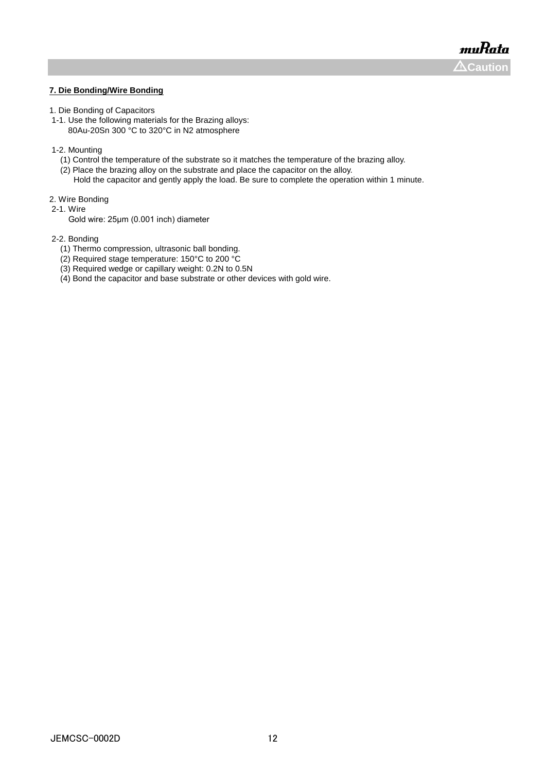muRata  $\Lambda$ Caution

#### **7. Die Bonding/Wire Bonding**

- 1. Die Bonding of Capacitors
- 1-1. Use the following materials for the Brazing alloys: 80Au-20Sn 300 °C to 320°C in N2 atmosphere
- 1-2. Mounting
- (1) Control the temperature of the substrate so it matches the temperature of the brazing alloy.
- (2) Place the brazing alloy on the substrate and place the capacitor on the alloy.
- Hold the capacitor and gently apply the load. Be sure to complete the operation within 1 minute.
- 2. Wire Bonding
- 2-1. Wire
	- Gold wire: 25μm (0.001 inch) diameter
- 2-2. Bonding
	- (1) Thermo compression, ultrasonic ball bonding.
	- (2) Required stage temperature: 150°C to 200 °C
	- (3) Required wedge or capillary weight: 0.2N to 0.5N
	- (4) Bond the capacitor and base substrate or other devices with gold wire.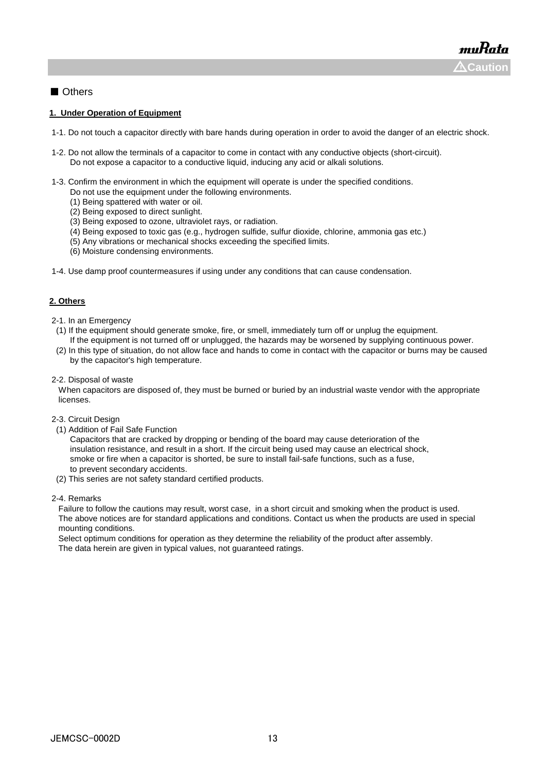# ■ Others

#### **1. Under Operation of Equipment**

- 1-1. Do not touch a capacitor directly with bare hands during operation in order to avoid the danger of an electric shock.
- 1-2. Do not allow the terminals of a capacitor to come in contact with any conductive objects (short-circuit). Do not expose a capacitor to a conductive liquid, inducing any acid or alkali solutions.
- 1-3. Confirm the environment in which the equipment will operate is under the specified conditions.
	- Do not use the equipment under the following environments.
	- (1) Being spattered with water or oil.
	- (2) Being exposed to direct sunlight.
	- (3) Being exposed to ozone, ultraviolet rays, or radiation.
	- (4) Being exposed to toxic gas (e.g., hydrogen sulfide, sulfur dioxide, chlorine, ammonia gas etc.)
	- (5) Any vibrations or mechanical shocks exceeding the specified limits.
	- (6) Moisture condensing environments.
- 1-4. Use damp proof countermeasures if using under any conditions that can cause condensation.

#### **2. Others**

- 2-1. In an Emergency
- (1) If the equipment should generate smoke, fire, or smell, immediately turn off or unplug the equipment. If the equipment is not turned off or unplugged, the hazards may be worsened by supplying continuous power.
- (2) In this type of situation, do not allow face and hands to come in contact with the capacitor or burns may be caused by the capacitor's high temperature.
- 2-2. Disposal of waste

 When capacitors are disposed of, they must be burned or buried by an industrial waste vendor with the appropriate licenses.

- 2-3. Circuit Design
- (1) Addition of Fail Safe Function

 Capacitors that are cracked by dropping or bending of the board may cause deterioration of the insulation resistance, and result in a short. If the circuit being used may cause an electrical shock, smoke or fire when a capacitor is shorted, be sure to install fail-safe functions, such as a fuse, to prevent secondary accidents.

(2) This series are not safety standard certified products.

#### 2-4. Remarks

 Failure to follow the cautions may result, worst case, in a short circuit and smoking when the product is used. The above notices are for standard applications and conditions. Contact us when the products are used in special mounting conditions.

 Select optimum conditions for operation as they determine the reliability of the product after assembly. The data herein are given in typical values, not guaranteed ratings.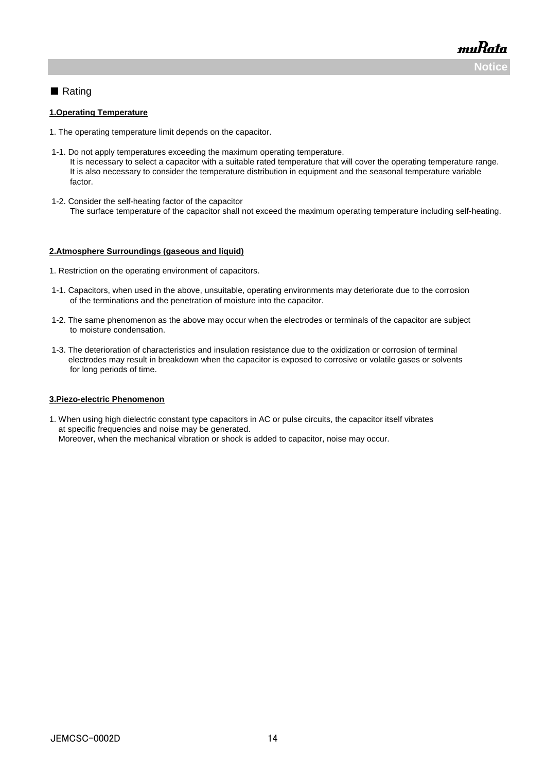muRata **Noti** 

# ■ Rating

#### **1.Operating Temperature**

- 1. The operating temperature limit depends on the capacitor.
- 1-1. Do not apply temperatures exceeding the maximum operating temperature. It is necessary to select a capacitor with a suitable rated temperature that will cover the operating temperature range. It is also necessary to consider the temperature distribution in equipment and the seasonal temperature variable factor.
- 1-2. Consider the self-heating factor of the capacitor The surface temperature of the capacitor shall not exceed the maximum operating temperature including self-heating.

#### **2.Atmosphere Surroundings (gaseous and liquid)**

- 1. Restriction on the operating environment of capacitors.
- 1-1. Capacitors, when used in the above, unsuitable, operating environments may deteriorate due to the corrosion of the terminations and the penetration of moisture into the capacitor.
- 1-2. The same phenomenon as the above may occur when the electrodes or terminals of the capacitor are subject to moisture condensation.
- 1-3. The deterioration of characteristics and insulation resistance due to the oxidization or corrosion of terminal electrodes may result in breakdown when the capacitor is exposed to corrosive or volatile gases or solvents for long periods of time.

#### **3.Piezo-electric Phenomenon**

1. When using high dielectric constant type capacitors in AC or pulse circuits, the capacitor itself vibrates at specific frequencies and noise may be generated. Moreover, when the mechanical vibration or shock is added to capacitor, noise may occur.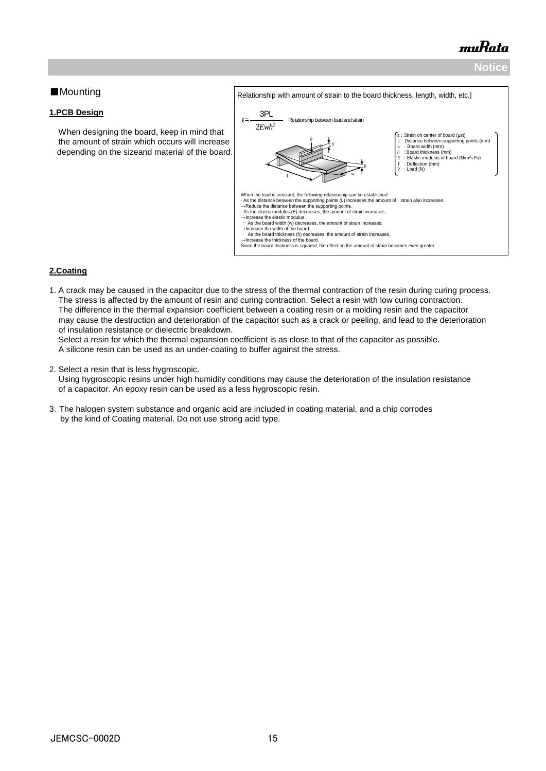# muRata

# **Notice**

# ■Mounting

### **1.PCB Design**

 When designing the board, keep in mind that the amount of strain which occurs will increase depending on the sizeand material of the board.



# **2.Coating**

1. A crack may be caused in the capacitor due to the stress of the thermal contraction of the resin during curing process. The stress is affected by the amount of resin and curing contraction. Select a resin with low curing contraction. The difference in the thermal expansion coefficient between a coating resin or a molding resin and the capacitor may cause the destruction and deterioration of the capacitor such as a crack or peeling, and lead to the deterioration of insulation resistance or dielectric breakdown.

 Select a resin for which the thermal expansion coefficient is as close to that of the capacitor as possible. A silicone resin can be used as an under-coating to buffer against the stress.

2. Select a resin that is less hygroscopic.

 Using hygroscopic resins under high humidity conditions may cause the deterioration of the insulation resistance of a capacitor. An epoxy resin can be used as a less hygroscopic resin.

3.The halogen system substance and organic acid are included in coating material, and a chip corrodes by the kind of Coating material. Do not use strong acid type.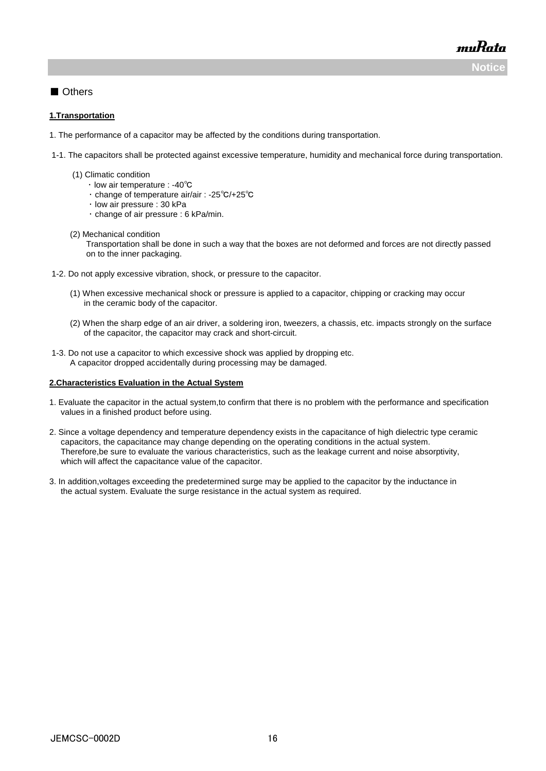muRata **Notice**

■ Others

#### **1.Transportation**

- 1. The performance of a capacitor may be affected by the conditions during transportation.
- 1-1. The capacitors shall be protected against excessive temperature, humidity and mechanical force during transportation.
	- (1) Climatic condition
		- ・ low air temperature : -40℃
		- ・ change of temperature air/air : -25℃/+25℃
		- ・ low air pressure : 30 kPa
		- ・ change of air pressure : 6 kPa/min.

#### (2) Mechanical condition

 Transportation shall be done in such a way that the boxes are not deformed and forces are not directly passed on to the inner packaging.

- 1-2. Do not apply excessive vibration, shock, or pressure to the capacitor.
	- (1) When excessive mechanical shock or pressure is applied to a capacitor, chipping or cracking may occur in the ceramic body of the capacitor.
	- (2) When the sharp edge of an air driver, a soldering iron, tweezers, a chassis, etc. impacts strongly on the surface of the capacitor, the capacitor may crack and short-circuit.
- 1-3. Do not use a capacitor to which excessive shock was applied by dropping etc. A capacitor dropped accidentally during processing may be damaged.

#### **2.Characteristics Evaluation in the Actual System**

- 1. Evaluate the capacitor in the actual system,to confirm that there is no problem with the performance and specification values in a finished product before using.
- 2. Since a voltage dependency and temperature dependency exists in the capacitance of high dielectric type ceramic capacitors, the capacitance may change depending on the operating conditions in the actual system. Therefore,be sure to evaluate the various characteristics, such as the leakage current and noise absorptivity, which will affect the capacitance value of the capacitor.
- 3. In addition,voltages exceeding the predetermined surge may be applied to the capacitor by the inductance in the actual system. Evaluate the surge resistance in the actual system as required.